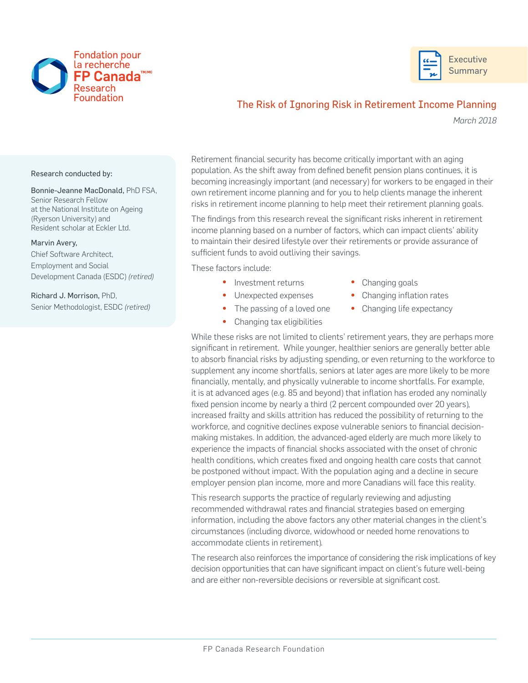



## The Risk of Ignoring Risk in Retirement Income Planning

*March 2018*

Research conducted by:

Bonnie-Jeanne MacDonald, PhD FSA, Senior Research Fellow at the National Institute on Ageing (Ryerson University) and Resident scholar at Eckler Ltd.

## Marvin Avery,

Chief Software Architect, Employment and Social Development Canada (ESDC) *(retired)* 

Richard J. Morrison, PhD, Senior Methodologist, ESDC *(retired)* Retirement financial security has become critically important with an aging population. As the shift away from defined benefit pension plans continues, it is becoming increasingly important (and necessary) for workers to be engaged in their own retirement income planning and for you to help clients manage the inherent risks in retirement income planning to help meet their retirement planning goals.

The findings from this research reveal the significant risks inherent in retirement income planning based on a number of factors, which can impact clients' ability to maintain their desired lifestyle over their retirements or provide assurance of sufficient funds to avoid outliving their savings.

These factors include:

- Investment returns Changing goals
- Unexpected expenses Changing inflation rates
- The passing of a loved one Changing life expectancy
- Changing tax eligibilities

While these risks are not limited to clients' retirement years, they are perhaps more significant in retirement. While younger, healthier seniors are generally better able to absorb financial risks by adjusting spending, or even returning to the workforce to supplement any income shortfalls, seniors at later ages are more likely to be more financially, mentally, and physically vulnerable to income shortfalls. For example, it is at advanced ages (e.g. 85 and beyond) that inflation has eroded any nominally fixed pension income by nearly a third (2 percent compounded over 20 years), increased frailty and skills attrition has reduced the possibility of returning to the workforce, and cognitive declines expose vulnerable seniors to financial decisionmaking mistakes. In addition, the advanced-aged elderly are much more likely to experience the impacts of financial shocks associated with the onset of chronic health conditions, which creates fixed and ongoing health care costs that cannot be postponed without impact. With the population aging and a decline in secure employer pension plan income, more and more Canadians will face this reality.

This research supports the practice of regularly reviewing and adjusting recommended withdrawal rates and financial strategies based on emerging information, including the above factors any other material changes in the client's circumstances (including divorce, widowhood or needed home renovations to accommodate clients in retirement).

The research also reinforces the importance of considering the risk implications of key decision opportunities that can have significant impact on client's future well-being and are either non-reversible decisions or reversible at significant cost.